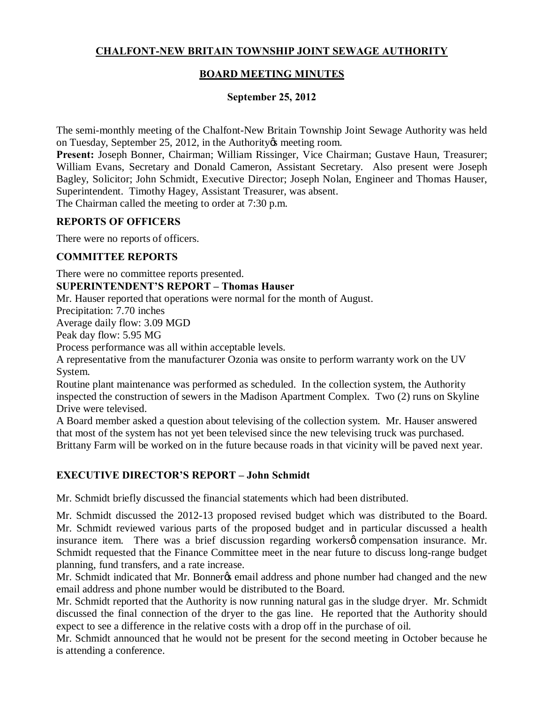# **CHALFONT-NEW BRITAIN TOWNSHIP JOINT SEWAGE AUTHORITY**

# **BOARD MEETING MINUTES**

## **September 25, 2012**

The semi-monthly meeting of the Chalfont-New Britain Township Joint Sewage Authority was held on Tuesday, September 25, 2012, in the Authority & meeting room.

**Present:** Joseph Bonner, Chairman; William Rissinger, Vice Chairman; Gustave Haun, Treasurer; William Evans, Secretary and Donald Cameron, Assistant Secretary. Also present were Joseph Bagley, Solicitor; John Schmidt, Executive Director; Joseph Nolan, Engineer and Thomas Hauser, Superintendent. Timothy Hagey, Assistant Treasurer, was absent. The Chairman called the meeting to order at 7:30 p.m.

**REPORTS OF OFFICERS**

There were no reports of officers.

### **COMMITTEE REPORTS**

There were no committee reports presented.

#### **SUPERINTENDENT'S REPORT – Thomas Hauser**

Mr. Hauser reported that operations were normal for the month of August.

Precipitation: 7.70 inches

Average daily flow: 3.09 MGD

Peak day flow: 5.95 MG

Process performance was all within acceptable levels.

A representative from the manufacturer Ozonia was onsite to perform warranty work on the UV System.

Routine plant maintenance was performed as scheduled. In the collection system, the Authority inspected the construction of sewers in the Madison Apartment Complex. Two (2) runs on Skyline Drive were televised.

A Board member asked a question about televising of the collection system. Mr. Hauser answered that most of the system has not yet been televised since the new televising truck was purchased. Brittany Farm will be worked on in the future because roads in that vicinity will be paved next year.

## **EXECUTIVE DIRECTOR'S REPORT – John Schmidt**

Mr. Schmidt briefly discussed the financial statements which had been distributed.

Mr. Schmidt discussed the 2012-13 proposed revised budget which was distributed to the Board. Mr. Schmidt reviewed various parts of the proposed budget and in particular discussed a health insurance item. There was a brief discussion regarding workers to compensation insurance. Mr. Schmidt requested that the Finance Committee meet in the near future to discuss long-range budget planning, fund transfers, and a rate increase.

Mr. Schmidt indicated that Mr. Bonner $\alpha$  email address and phone number had changed and the new email address and phone number would be distributed to the Board.

Mr. Schmidt reported that the Authority is now running natural gas in the sludge dryer. Mr. Schmidt discussed the final connection of the dryer to the gas line. He reported that the Authority should expect to see a difference in the relative costs with a drop off in the purchase of oil.

Mr. Schmidt announced that he would not be present for the second meeting in October because he is attending a conference.